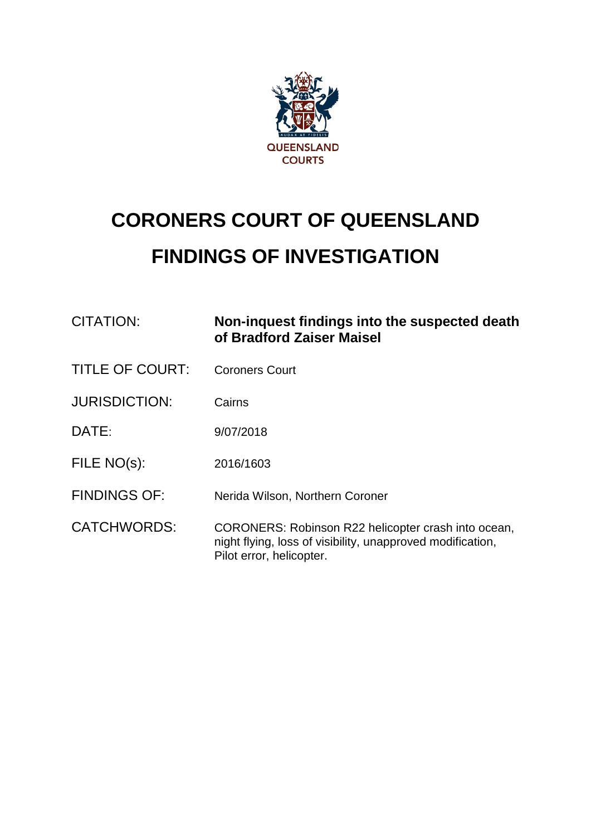

# **CORONERS COURT OF QUEENSLAND FINDINGS OF INVESTIGATION**

| <b>CITATION:</b>       | Non-inquest findings into the suspected death<br>of Bradford Zaiser Maisel                                                                    |  |
|------------------------|-----------------------------------------------------------------------------------------------------------------------------------------------|--|
| <b>TITLE OF COURT:</b> | <b>Coroners Court</b>                                                                                                                         |  |
| <b>JURISDICTION:</b>   | Cairns                                                                                                                                        |  |
| DATE:                  | 9/07/2018                                                                                                                                     |  |
| FILE NO(s):            | 2016/1603                                                                                                                                     |  |
| <b>FINDINGS OF:</b>    | Nerida Wilson, Northern Coroner                                                                                                               |  |
| <b>CATCHWORDS:</b>     | CORONERS: Robinson R22 helicopter crash into ocean,<br>night flying, loss of visibility, unapproved modification,<br>Pilot error, helicopter. |  |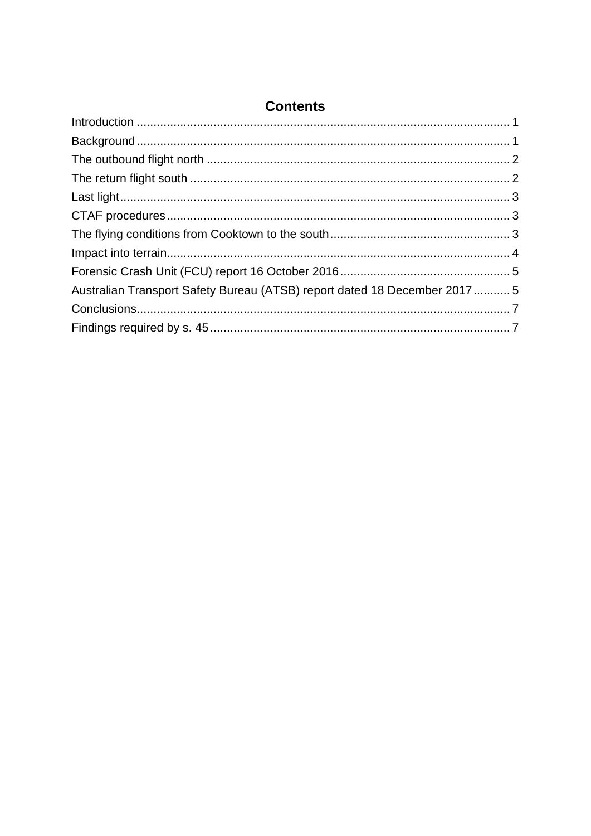| Australian Transport Safety Bureau (ATSB) report dated 18 December 20175 |  |
|--------------------------------------------------------------------------|--|
|                                                                          |  |
|                                                                          |  |

# **Contents**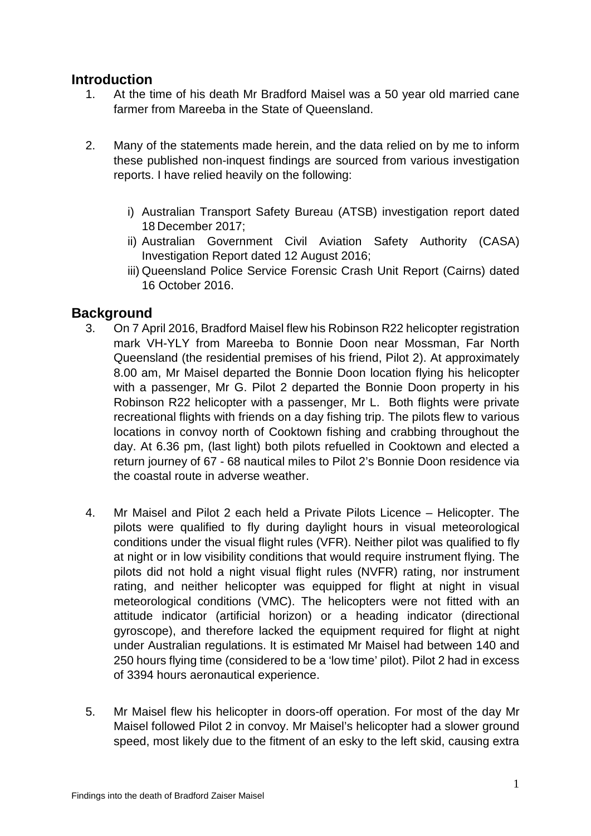# <span id="page-2-0"></span>**Introduction**<br>1. At the ti

- At the time of his death Mr Bradford Maisel was a 50 year old married cane farmer from Mareeba in the State of Queensland.
- 2. Many of the statements made herein, and the data relied on by me to inform these published non-inquest findings are sourced from various investigation reports. I have relied heavily on the following:
	- i) Australian Transport Safety Bureau (ATSB) investigation report dated 18 December 2017;
	- ii) Australian Government Civil Aviation Safety Authority (CASA) Investigation Report dated 12 August 2016;
	- iii) Queensland Police Service Forensic Crash Unit Report (Cairns) dated 16 October 2016.

## <span id="page-2-1"></span>**Background**

- 3. On 7 April 2016, Bradford Maisel flew his Robinson R22 helicopter registration mark VH-YLY from Mareeba to Bonnie Doon near Mossman, Far North Queensland (the residential premises of his friend, Pilot 2). At approximately 8.00 am, Mr Maisel departed the Bonnie Doon location flying his helicopter with a passenger, Mr G. Pilot 2 departed the Bonnie Doon property in his Robinson R22 helicopter with a passenger, Mr L. Both flights were private recreational flights with friends on a day fishing trip. The pilots flew to various locations in convoy north of Cooktown fishing and crabbing throughout the day. At 6.36 pm, (last light) both pilots refuelled in Cooktown and elected a return journey of 67 - 68 nautical miles to Pilot 2's Bonnie Doon residence via the coastal route in adverse weather.
- 4. Mr Maisel and Pilot 2 each held a Private Pilots Licence Helicopter. The pilots were qualified to fly during daylight hours in visual meteorological conditions under the visual flight rules (VFR). Neither pilot was qualified to fly at night or in low visibility conditions that would require instrument flying. The pilots did not hold a night visual flight rules (NVFR) rating, nor instrument rating, and neither helicopter was equipped for flight at night in visual meteorological conditions (VMC). The helicopters were not fitted with an attitude indicator (artificial horizon) or a heading indicator (directional gyroscope), and therefore lacked the equipment required for flight at night under Australian regulations. It is estimated Mr Maisel had between 140 and 250 hours flying time (considered to be a 'low time' pilot). Pilot 2 had in excess of 3394 hours aeronautical experience.
- 5. Mr Maisel flew his helicopter in doors-off operation. For most of the day Mr Maisel followed Pilot 2 in convoy. Mr Maisel's helicopter had a slower ground speed, most likely due to the fitment of an esky to the left skid, causing extra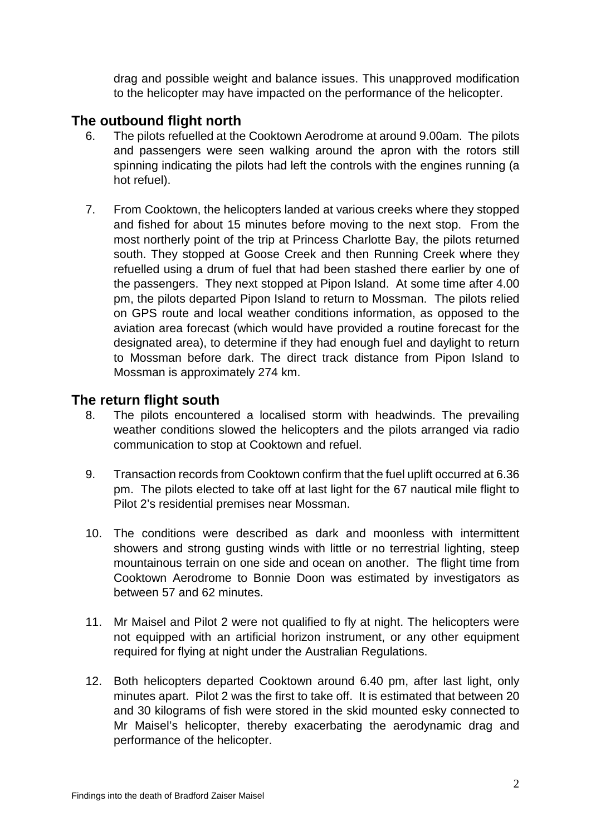drag and possible weight and balance issues. This unapproved modification to the helicopter may have impacted on the performance of the helicopter.

## <span id="page-3-0"></span>**The outbound flight north**

- 6. The pilots refuelled at the Cooktown Aerodrome at around 9.00am. The pilots and passengers were seen walking around the apron with the rotors still spinning indicating the pilots had left the controls with the engines running (a hot refuel).
- 7. From Cooktown, the helicopters landed at various creeks where they stopped and fished for about 15 minutes before moving to the next stop. From the most northerly point of the trip at Princess Charlotte Bay, the pilots returned south. They stopped at Goose Creek and then Running Creek where they refuelled using a drum of fuel that had been stashed there earlier by one of the passengers. They next stopped at Pipon Island. At some time after 4.00 pm, the pilots departed Pipon Island to return to Mossman. The pilots relied on GPS route and local weather conditions information, as opposed to the aviation area forecast (which would have provided a routine forecast for the designated area), to determine if they had enough fuel and daylight to return to Mossman before dark. The direct track distance from Pipon Island to Mossman is approximately 274 km.

## <span id="page-3-1"></span>**The return flight south**

- 8. The pilots encountered a localised storm with headwinds. The prevailing weather conditions slowed the helicopters and the pilots arranged via radio communication to stop at Cooktown and refuel.
- 9. Transaction records from Cooktown confirm that the fuel uplift occurred at 6.36 pm. The pilots elected to take off at last light for the 67 nautical mile flight to Pilot 2's residential premises near Mossman.
- 10. The conditions were described as dark and moonless with intermittent showers and strong gusting winds with little or no terrestrial lighting, steep mountainous terrain on one side and ocean on another. The flight time from Cooktown Aerodrome to Bonnie Doon was estimated by investigators as between 57 and 62 minutes.
- 11. Mr Maisel and Pilot 2 were not qualified to fly at night. The helicopters were not equipped with an artificial horizon instrument, or any other equipment required for flying at night under the Australian Regulations.
- 12. Both helicopters departed Cooktown around 6.40 pm, after last light, only minutes apart. Pilot 2 was the first to take off. It is estimated that between 20 and 30 kilograms of fish were stored in the skid mounted esky connected to Mr Maisel's helicopter, thereby exacerbating the aerodynamic drag and performance of the helicopter.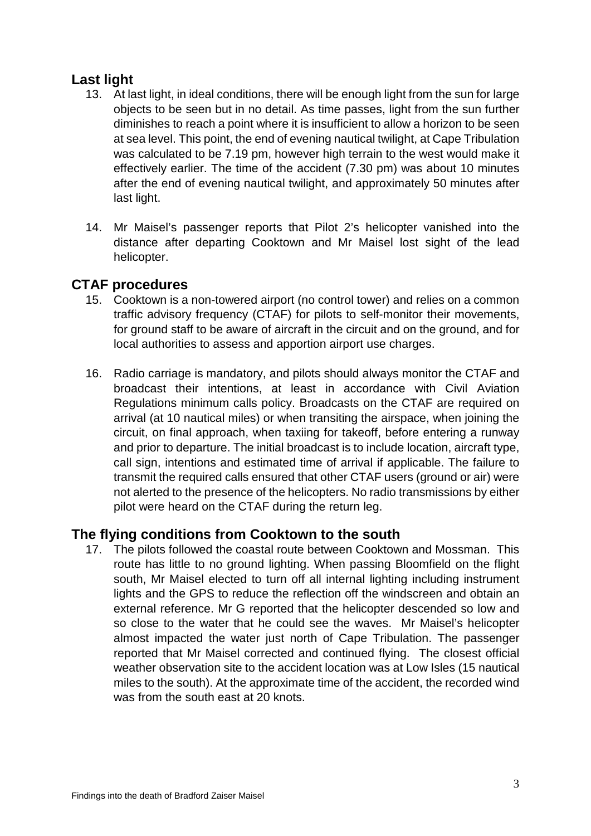## <span id="page-4-0"></span>**Last light**

- 13. At last light, in ideal conditions, there will be enough light from the sun for large objects to be seen but in no detail. As time passes, light from the sun further diminishes to reach a point where it is insufficient to allow a horizon to be seen at sea level. This point, the end of evening nautical twilight, at Cape Tribulation was calculated to be 7.19 pm, however high terrain to the west would make it effectively earlier. The time of the accident (7.30 pm) was about 10 minutes after the end of evening nautical twilight, and approximately 50 minutes after last light.
- 14. Mr Maisel's passenger reports that Pilot 2's helicopter vanished into the distance after departing Cooktown and Mr Maisel lost sight of the lead helicopter.

# <span id="page-4-1"></span>**CTAF procedures**

- 15. Cooktown is a non-towered airport (no control tower) and relies on a common traffic advisory frequency (CTAF) for pilots to self-monitor their movements, for ground staff to be aware of aircraft in the circuit and on the ground, and for local authorities to assess and apportion airport use charges.
- 16. Radio carriage is mandatory, and pilots should always monitor the CTAF and broadcast their intentions, at least in accordance with Civil Aviation Regulations minimum calls policy. Broadcasts on the CTAF are required on arrival (at 10 nautical miles) or when transiting the airspace, when joining the circuit, on final approach, when taxiing for takeoff, before entering a runway and prior to departure. The initial broadcast is to include location, aircraft type, call sign, intentions and estimated time of arrival if applicable. The failure to transmit the required calls ensured that other CTAF users (ground or air) were not alerted to the presence of the helicopters. No radio transmissions by either pilot were heard on the CTAF during the return leg.

# <span id="page-4-2"></span>**The flying conditions from Cooktown to the south**

17. The pilots followed the coastal route between Cooktown and Mossman. This route has little to no ground lighting. When passing Bloomfield on the flight south, Mr Maisel elected to turn off all internal lighting including instrument lights and the GPS to reduce the reflection off the windscreen and obtain an external reference. Mr G reported that the helicopter descended so low and so close to the water that he could see the waves. Mr Maisel's helicopter almost impacted the water just north of Cape Tribulation. The passenger reported that Mr Maisel corrected and continued flying. The closest official weather observation site to the accident location was at Low Isles (15 nautical miles to the south). At the approximate time of the accident, the recorded wind was from the south east at 20 knots.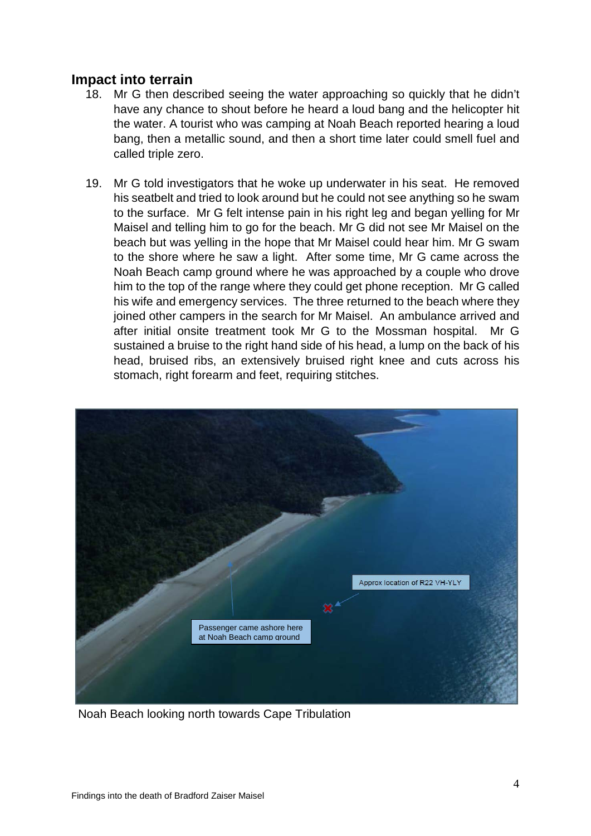### <span id="page-5-0"></span>**Impact into terrain**

- 18. Mr G then described seeing the water approaching so quickly that he didn't have any chance to shout before he heard a loud bang and the helicopter hit the water. A tourist who was camping at Noah Beach reported hearing a loud bang, then a metallic sound, and then a short time later could smell fuel and called triple zero.
- 19. Mr G told investigators that he woke up underwater in his seat. He removed his seatbelt and tried to look around but he could not see anything so he swam to the surface. Mr G felt intense pain in his right leg and began yelling for Mr Maisel and telling him to go for the beach. Mr G did not see Mr Maisel on the beach but was yelling in the hope that Mr Maisel could hear him. Mr G swam to the shore where he saw a light. After some time, Mr G came across the Noah Beach camp ground where he was approached by a couple who drove him to the top of the range where they could get phone reception. Mr G called his wife and emergency services. The three returned to the beach where they joined other campers in the search for Mr Maisel. An ambulance arrived and after initial onsite treatment took Mr G to the Mossman hospital. Mr G sustained a bruise to the right hand side of his head, a lump on the back of his head, bruised ribs, an extensively bruised right knee and cuts across his stomach, right forearm and feet, requiring stitches.



Noah Beach looking north towards Cape Tribulation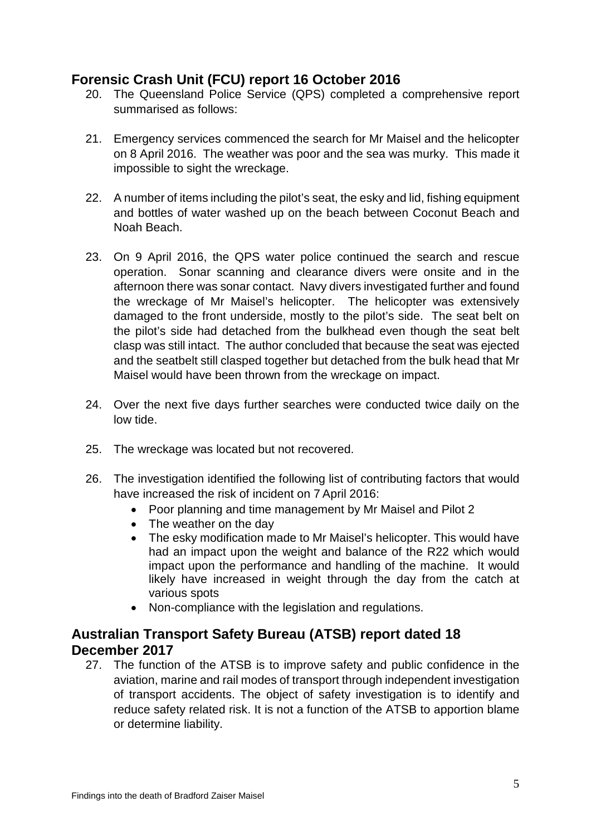# <span id="page-6-0"></span>**Forensic Crash Unit (FCU) report 16 October 2016**

- 20. The Queensland Police Service (QPS) completed a comprehensive report summarised as follows:
- 21. Emergency services commenced the search for Mr Maisel and the helicopter on 8 April 2016. The weather was poor and the sea was murky. This made it impossible to sight the wreckage.
- 22. A number of items including the pilot's seat, the esky and lid, fishing equipment and bottles of water washed up on the beach between Coconut Beach and Noah Beach.
- 23. On 9 April 2016, the QPS water police continued the search and rescue operation. Sonar scanning and clearance divers were onsite and in the afternoon there was sonar contact. Navy divers investigated further and found the wreckage of Mr Maisel's helicopter. The helicopter was extensively damaged to the front underside, mostly to the pilot's side. The seat belt on the pilot's side had detached from the bulkhead even though the seat belt clasp was still intact. The author concluded that because the seat was ejected and the seatbelt still clasped together but detached from the bulk head that Mr Maisel would have been thrown from the wreckage on impact.
- 24. Over the next five days further searches were conducted twice daily on the low tide.
- 25. The wreckage was located but not recovered.
- 26. The investigation identified the following list of contributing factors that would have increased the risk of incident on 7 April 2016:
	- Poor planning and time management by Mr Maisel and Pilot 2
	- The weather on the day
	- The esky modification made to Mr Maisel's helicopter. This would have had an impact upon the weight and balance of the R22 which would impact upon the performance and handling of the machine. It would likely have increased in weight through the day from the catch at various spots
	- Non-compliance with the legislation and regulations.

# <span id="page-6-1"></span>**Australian Transport Safety Bureau (ATSB) report dated 18 December 2017**

27. The function of the ATSB is to improve safety and public confidence in the aviation, marine and rail modes of transport through independent investigation of transport accidents. The object of safety investigation is to identify and reduce safety related risk. It is not a function of the ATSB to apportion blame or determine liability.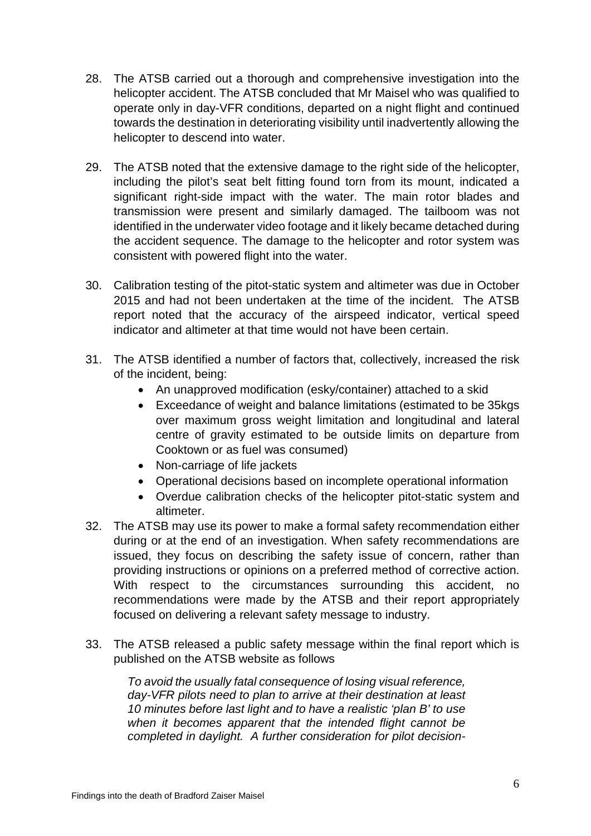- 28. The ATSB carried out a thorough and comprehensive investigation into the helicopter accident. The ATSB concluded that Mr Maisel who was qualified to operate only in day-VFR conditions, departed on a night flight and continued towards the destination in deteriorating visibility until inadvertently allowing the helicopter to descend into water.
- 29. The ATSB noted that the extensive damage to the right side of the helicopter, including the pilot's seat belt fitting found torn from its mount, indicated a significant right-side impact with the water. The main rotor blades and transmission were present and similarly damaged. The tailboom was not identified in the underwater video footage and it likely became detached during the accident sequence. The damage to the helicopter and rotor system was consistent with powered flight into the water.
- 30. Calibration testing of the pitot-static system and altimeter was due in October 2015 and had not been undertaken at the time of the incident. The ATSB report noted that the accuracy of the airspeed indicator, vertical speed indicator and altimeter at that time would not have been certain.
- 31. The ATSB identified a number of factors that, collectively, increased the risk of the incident, being:
	- An unapproved modification (esky/container) attached to a skid
	- Exceedance of weight and balance limitations (estimated to be 35kgs over maximum gross weight limitation and longitudinal and lateral centre of gravity estimated to be outside limits on departure from Cooktown or as fuel was consumed)
	- Non-carriage of life jackets
	- Operational decisions based on incomplete operational information
	- Overdue calibration checks of the helicopter pitot-static system and altimeter.
- 32. The ATSB may use its power to make a formal safety recommendation either during or at the end of an investigation. When safety recommendations are issued, they focus on describing the safety issue of concern, rather than providing instructions or opinions on a preferred method of corrective action. With respect to the circumstances surrounding this accident, no recommendations were made by the ATSB and their report appropriately focused on delivering a relevant safety message to industry.
- 33. The ATSB released a public safety message within the final report which is published on the ATSB website as follows

*To avoid the usually fatal consequence of losing visual reference, day-VFR pilots need to plan to arrive at their destination at least 10 minutes before last light and to have a realistic 'plan B' to use when it becomes apparent that the intended flight cannot be completed in daylight. A further consideration for pilot decision-*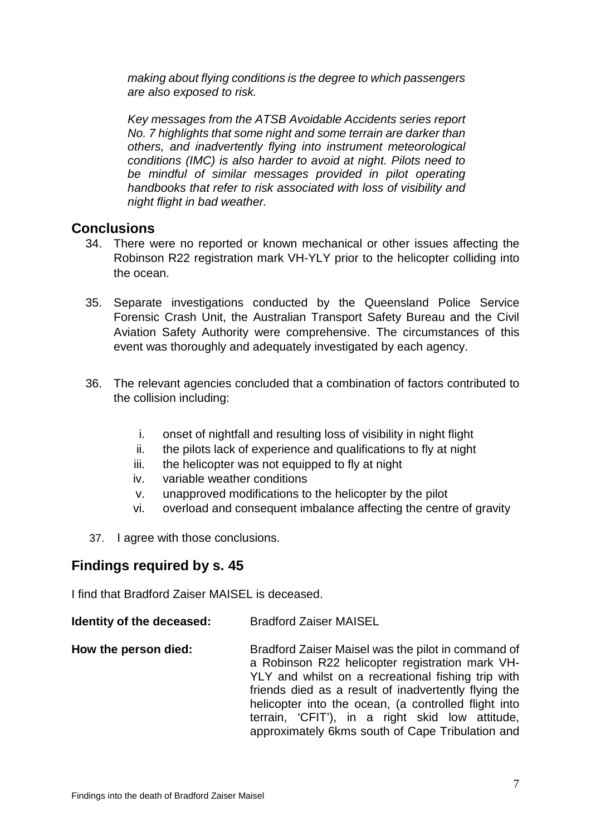*making about flying conditions is the degree to which passengers are also exposed to risk.* 

*Key messages from the ATSB Avoidable Accidents series report No. 7 highlights that some night and some terrain are darker than others, and inadvertently flying into instrument meteorological conditions (IMC) is also harder to avoid at night. Pilots need to*  be mindful of similar messages provided in pilot operating *handbooks that refer to risk associated with loss of visibility and night flight in bad weather.* 

#### <span id="page-8-0"></span>**Conclusions**

- 34. There were no reported or known mechanical or other issues affecting the Robinson R22 registration mark VH-YLY prior to the helicopter colliding into the ocean.
- 35. Separate investigations conducted by the Queensland Police Service Forensic Crash Unit, the Australian Transport Safety Bureau and the Civil Aviation Safety Authority were comprehensive. The circumstances of this event was thoroughly and adequately investigated by each agency.
- 36. The relevant agencies concluded that a combination of factors contributed to the collision including:
	- i. onset of nightfall and resulting loss of visibility in night flight
	- ii. the pilots lack of experience and qualifications to fly at night
	- iii. the helicopter was not equipped to fly at night
	- iv. variable weather conditions
	- v. unapproved modifications to the helicopter by the pilot
	- vi. overload and consequent imbalance affecting the centre of gravity
- 37. I agree with those conclusions.

## <span id="page-8-1"></span>**Findings required by s. 45**

I find that Bradford Zaiser MAISEL is deceased.

- **Identity of the deceased:** Bradford Zaiser MAISEL
- **How the person died:** Bradford Zaiser Maisel was the pilot in command of a Robinson R22 helicopter registration mark VH-YLY and whilst on a recreational fishing trip with friends died as a result of inadvertently flying the helicopter into the ocean, (a controlled flight into terrain, 'CFIT'), in a right skid low attitude, approximately 6kms south of Cape Tribulation and